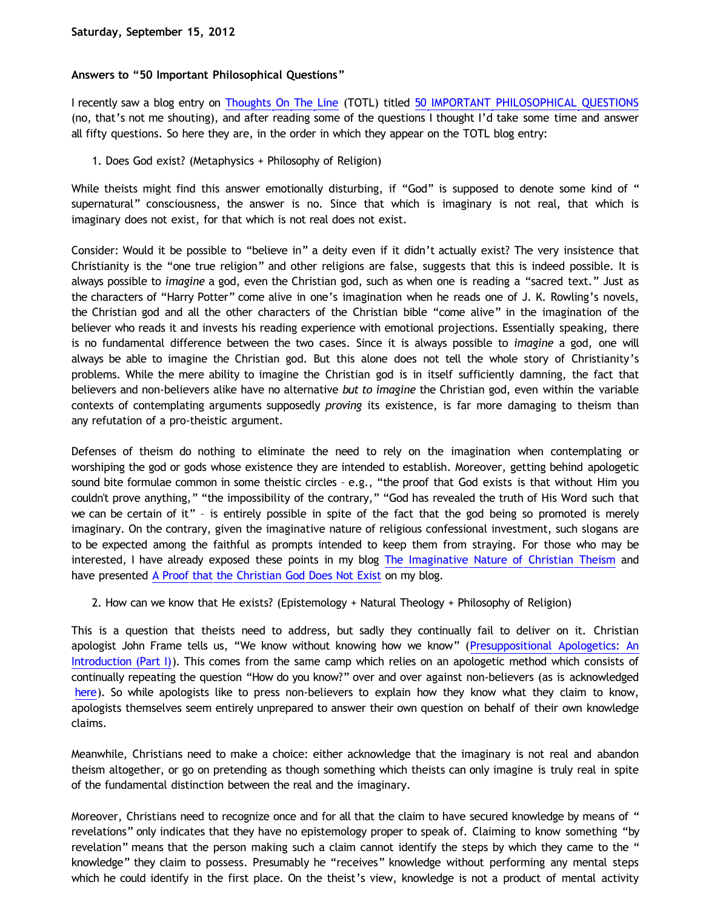# **Answers to "50 Important Philosophical Questions"**

I recently saw a blog entry on [Thoughts On The Line](http://thoughtsontheline.wordpress.com/) (TOTL) titled [50 IMPORTANT PHILOSOPHICAL QUESTIONS](http://thoughtsontheline.wordpress.com/2012/08/21/50-important-philosophical-questions/) (no, that's not me shouting), and after reading some of the questions I thought I'd take some time and answer all fifty questions. So here they are, in the order in which they appear on the TOTL blog entry:

1. Does God exist? (Metaphysics + Philosophy of Religion)

While theists might find this answer emotionally disturbing, if "God" is supposed to denote some kind of " supernatural" consciousness, the answer is no. Since that which is imaginary is not real, that which is imaginary does not exist, for that which is not real does not exist.

Consider: Would it be possible to "believe in" a deity even if it didn't actually exist? The very insistence that Christianity is the "one true religion" and other religions are false, suggests that this is indeed possible. It is always possible to *imagine* a god, even the Christian god, such as when one is reading a "sacred text." Just as the characters of "Harry Potter" come alive in one's imagination when he reads one of J. K. Rowling's novels, the Christian god and all the other characters of the Christian bible "come alive" in the imagination of the believer who reads it and invests his reading experience with emotional projections. Essentially speaking, there is no fundamental difference between the two cases. Since it is always possible to *imagine* a god, one will always be able to imagine the Christian god. But this alone does not tell the whole story of Christianity's problems. While the mere ability to imagine the Christian god is in itself sufficiently damning, the fact that believers and non-believers alike have no alternative *but to imagine* the Christian god, even within the variable contexts of contemplating arguments supposedly *proving* its existence, is far more damaging to theism than any refutation of a pro-theistic argument.

Defenses of theism do nothing to eliminate the need to rely on the imagination when contemplating or worshiping the god or gods whose existence they are intended to establish. Moreover, getting behind apologetic sound bite formulae common in some theistic circles – e.g., "the proof that God exists is that without Him you couldn't prove anything," "the impossibility of the contrary," "God has revealed the truth of His Word such that we can be certain of it" – is entirely possible in spite of the fact that the god being so promoted is merely imaginary. On the contrary, given the imaginative nature of religious confessional investment, such slogans are to be expected among the faithful as prompts intended to keep them from straying. For those who may be interested, I have already exposed these points in my blog [The Imaginative Nature of Christian Theism](http://bahnsenburner.blogspot.com/2010/05/imaginative-nature-of-christian-theism.html) and have presented [A Proof that the Christian God Does Not Exist](http://bahnsenburner.blogspot.com/2011/07/proof-that-christian-god-does-not-exist.html) on my blog.

2. How can we know that He exists? (Epistemology + Natural Theology + Philosophy of Religion)

This is a question that theists need to address, but sadly they continually fail to deliver on it. Christian apologist John Frame tells us, "We know without knowing how we know" ([Presuppositional Apologetics: An](http://www.thirdmill.org/files/english/html/pt/PT.h.Frame.Presupp.Apol.1.html) [Introduction \(Part I\)](http://www.thirdmill.org/files/english/html/pt/PT.h.Frame.Presupp.Apol.1.html)). This comes from the same camp which relies on an apologetic method which consists of continually repeating the question "How do you know?" over and over against non-believers (as is acknowledged [here\)](http://www.choosinghats.com/2012/08/the-recent-rise-covenantal-apologetics-7-10/). So while apologists like to press non-believers to explain how they know what they claim to know, apologists themselves seem entirely unprepared to answer their own question on behalf of their own knowledge claims.

Meanwhile, Christians need to make a choice: either acknowledge that the imaginary is not real and abandon theism altogether, or go on pretending as though something which theists can only imagine is truly real in spite of the fundamental distinction between the real and the imaginary.

Moreover, Christians need to recognize once and for all that the claim to have secured knowledge by means of " revelations" only indicates that they have no epistemology proper to speak of. Claiming to know something "by revelation" means that the person making such a claim cannot identify the steps by which they came to the " knowledge" they claim to possess. Presumably he "receives" knowledge without performing any mental steps which he could identify in the first place. On the theist's view, knowledge is not a product of mental activity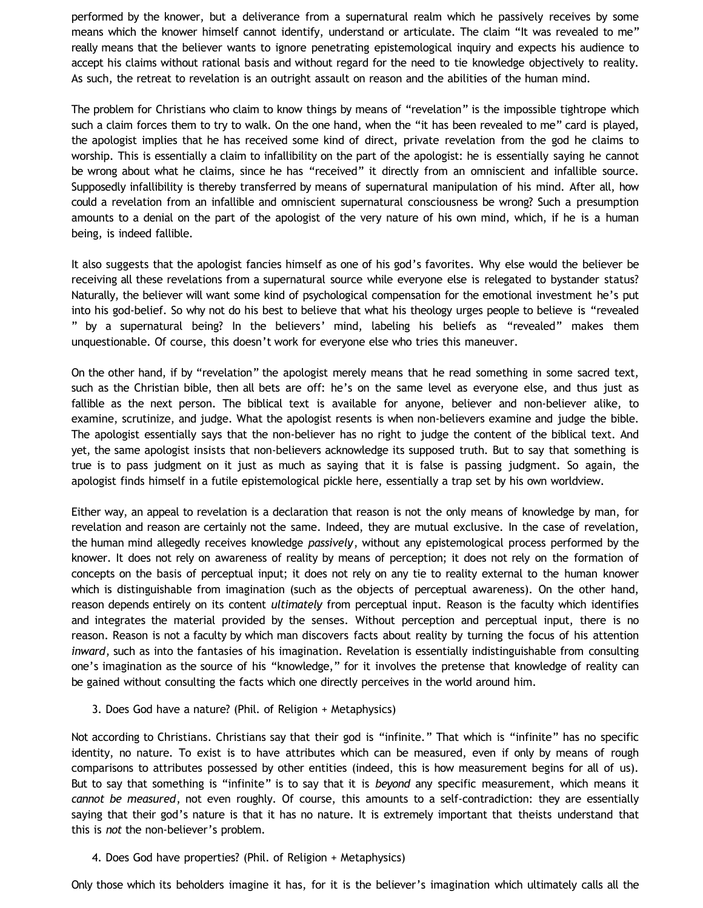performed by the knower, but a deliverance from a supernatural realm which he passively receives by some means which the knower himself cannot identify, understand or articulate. The claim "It was revealed to me" really means that the believer wants to ignore penetrating epistemological inquiry and expects his audience to accept his claims without rational basis and without regard for the need to tie knowledge objectively to reality. As such, the retreat to revelation is an outright assault on reason and the abilities of the human mind.

The problem for Christians who claim to know things by means of "revelation" is the impossible tightrope which such a claim forces them to try to walk. On the one hand, when the "it has been revealed to me" card is played, the apologist implies that he has received some kind of direct, private revelation from the god he claims to worship. This is essentially a claim to infallibility on the part of the apologist: he is essentially saying he cannot be wrong about what he claims, since he has "received" it directly from an omniscient and infallible source. Supposedly infallibility is thereby transferred by means of supernatural manipulation of his mind. After all, how could a revelation from an infallible and omniscient supernatural consciousness be wrong? Such a presumption amounts to a denial on the part of the apologist of the very nature of his own mind, which, if he is a human being, is indeed fallible.

It also suggests that the apologist fancies himself as one of his god's favorites. Why else would the believer be receiving all these revelations from a supernatural source while everyone else is relegated to bystander status? Naturally, the believer will want some kind of psychological compensation for the emotional investment he's put into his god-belief. So why not do his best to believe that what his theology urges people to believe is "revealed " by a supernatural being? In the believers' mind, labeling his beliefs as "revealed" makes them unquestionable. Of course, this doesn't work for everyone else who tries this maneuver.

On the other hand, if by "revelation" the apologist merely means that he read something in some sacred text, such as the Christian bible, then all bets are off: he's on the same level as everyone else, and thus just as fallible as the next person. The biblical text is available for anyone, believer and non-believer alike, to examine, scrutinize, and judge. What the apologist resents is when non-believers examine and judge the bible. The apologist essentially says that the non-believer has no right to judge the content of the biblical text. And yet, the same apologist insists that non-believers acknowledge its supposed truth. But to say that something is true is to pass judgment on it just as much as saying that it is false is passing judgment. So again, the apologist finds himself in a futile epistemological pickle here, essentially a trap set by his own worldview.

Either way, an appeal to revelation is a declaration that reason is not the only means of knowledge by man, for revelation and reason are certainly not the same. Indeed, they are mutual exclusive. In the case of revelation, the human mind allegedly receives knowledge *passively*, without any epistemological process performed by the knower. It does not rely on awareness of reality by means of perception; it does not rely on the formation of concepts on the basis of perceptual input; it does not rely on any tie to reality external to the human knower which is distinguishable from imagination (such as the objects of perceptual awareness). On the other hand, reason depends entirely on its content *ultimately* from perceptual input. Reason is the faculty which identifies and integrates the material provided by the senses. Without perception and perceptual input, there is no reason. Reason is not a faculty by which man discovers facts about reality by turning the focus of his attention *inward*, such as into the fantasies of his imagination. Revelation is essentially indistinguishable from consulting one's imagination as the source of his "knowledge," for it involves the pretense that knowledge of reality can be gained without consulting the facts which one directly perceives in the world around him.

3. Does God have a nature? (Phil. of Religion + Metaphysics)

Not according to Christians. Christians say that their god is "infinite." That which is "infinite" has no specific identity, no nature. To exist is to have attributes which can be measured, even if only by means of rough comparisons to attributes possessed by other entities (indeed, this is how measurement begins for all of us). But to say that something is "infinite" is to say that it is *beyond* any specific measurement, which means it *cannot be measured*, not even roughly. Of course, this amounts to a self-contradiction: they are essentially saying that their god's nature is that it has no nature. It is extremely important that theists understand that this is *not* the non-believer's problem.

### 4. Does God have properties? (Phil. of Religion + Metaphysics)

Only those which its beholders imagine it has, for it is the believer's imagination which ultimately calls all the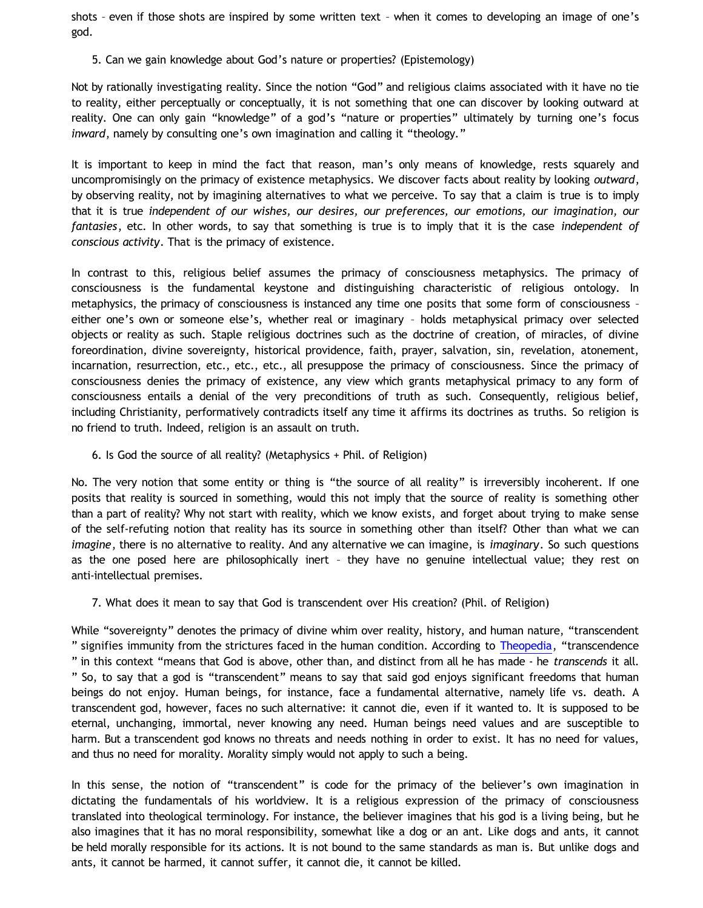shots – even if those shots are inspired by some written text – when it comes to developing an image of one's god.

5. Can we gain knowledge about God's nature or properties? (Epistemology)

Not by rationally investigating reality. Since the notion "God" and religious claims associated with it have no tie to reality, either perceptually or conceptually, it is not something that one can discover by looking outward at reality. One can only gain "knowledge" of a god's "nature or properties" ultimately by turning one's focus *inward*, namely by consulting one's own imagination and calling it "theology."

It is important to keep in mind the fact that reason, man's only means of knowledge, rests squarely and uncompromisingly on the primacy of existence metaphysics. We discover facts about reality by looking *outward*, by observing reality, not by imagining alternatives to what we perceive. To say that a claim is true is to imply that it is true *independent of our wishes, our desires, our preferences, our emotions, our imagination, our fantasies*, etc. In other words, to say that something is true is to imply that it is the case *independent of conscious activity*. That is the primacy of existence.

In contrast to this, religious belief assumes the primacy of consciousness metaphysics. The primacy of consciousness is the fundamental keystone and distinguishing characteristic of religious ontology. In metaphysics, the primacy of consciousness is instanced any time one posits that some form of consciousness – either one's own or someone else's, whether real or imaginary – holds metaphysical primacy over selected objects or reality as such. Staple religious doctrines such as the doctrine of creation, of miracles, of divine foreordination, divine sovereignty, historical providence, faith, prayer, salvation, sin, revelation, atonement, incarnation, resurrection, etc., etc., etc., all presuppose the primacy of consciousness. Since the primacy of consciousness denies the primacy of existence, any view which grants metaphysical primacy to any form of consciousness entails a denial of the very preconditions of truth as such. Consequently, religious belief, including Christianity, performatively contradicts itself any time it affirms its doctrines as truths. So religion is no friend to truth. Indeed, religion is an assault on truth.

6. Is God the source of all reality? (Metaphysics + Phil. of Religion)

No. The very notion that some entity or thing is "the source of all reality" is irreversibly incoherent. If one posits that reality is sourced in something, would this not imply that the source of reality is something other than a part of reality? Why not start with reality, which we know exists, and forget about trying to make sense of the self-refuting notion that reality has its source in something other than itself? Other than what we can *imagine*, there is no alternative to reality. And any alternative we can imagine, is *imaginary*. So such questions as the one posed here are philosophically inert – they have no genuine intellectual value; they rest on anti-intellectual premises.

7. What does it mean to say that God is transcendent over His creation? (Phil. of Religion)

While "sovereignty" denotes the primacy of divine whim over reality, history, and human nature, "transcendent " signifies immunity from the strictures faced in the human condition. According to [Theopedia,](http://www.theopedia.com/Transcendence_of_God) "transcendence " in this context "means that God is above, other than, and distinct from all he has made - he *transcends* it all. " So, to say that a god is "transcendent" means to say that said god enjoys significant freedoms that human beings do not enjoy. Human beings, for instance, face a fundamental alternative, namely life vs. death. A transcendent god, however, faces no such alternative: it cannot die, even if it wanted to. It is supposed to be eternal, unchanging, immortal, never knowing any need. Human beings need values and are susceptible to harm. But a transcendent god knows no threats and needs nothing in order to exist. It has no need for values, and thus no need for morality. Morality simply would not apply to such a being.

In this sense, the notion of "transcendent" is code for the primacy of the believer's own imagination in dictating the fundamentals of his worldview. It is a religious expression of the primacy of consciousness translated into theological terminology. For instance, the believer imagines that his god is a living being, but he also imagines that it has no moral responsibility, somewhat like a dog or an ant. Like dogs and ants, it cannot be held morally responsible for its actions. It is not bound to the same standards as man is. But unlike dogs and ants, it cannot be harmed, it cannot suffer, it cannot die, it cannot be killed.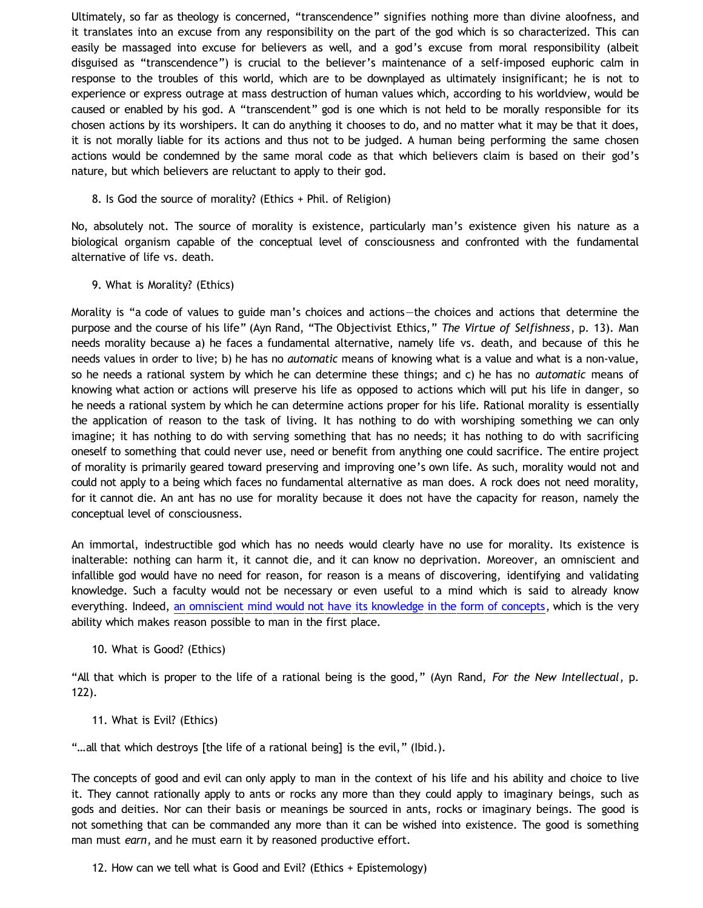Ultimately, so far as theology is concerned, "transcendence" signifies nothing more than divine aloofness, and it translates into an excuse from any responsibility on the part of the god which is so characterized. This can easily be massaged into excuse for believers as well, and a god's excuse from moral responsibility (albeit disguised as "transcendence") is crucial to the believer's maintenance of a self-imposed euphoric calm in response to the troubles of this world, which are to be downplayed as ultimately insignificant; he is not to experience or express outrage at mass destruction of human values which, according to his worldview, would be caused or enabled by his god. A "transcendent" god is one which is not held to be morally responsible for its chosen actions by its worshipers. It can do anything it chooses to do, and no matter what it may be that it does, it is not morally liable for its actions and thus not to be judged. A human being performing the same chosen actions would be condemned by the same moral code as that which believers claim is based on their god's nature, but which believers are reluctant to apply to their god.

8. Is God the source of morality? (Ethics + Phil. of Religion)

No, absolutely not. The source of morality is existence, particularly man's existence given his nature as a biological organism capable of the conceptual level of consciousness and confronted with the fundamental alternative of life vs. death.

9. What is Morality? (Ethics)

Morality is "a code of values to guide man's choices and actions—the choices and actions that determine the purpose and the course of his life" (Ayn Rand, "The Objectivist Ethics," *The Virtue of Selfishness*, p. 13). Man needs morality because a) he faces a fundamental alternative, namely life vs. death, and because of this he needs values in order to live; b) he has no *automatic* means of knowing what is a value and what is a non-value, so he needs a rational system by which he can determine these things; and c) he has no *automatic* means of knowing what action or actions will preserve his life as opposed to actions which will put his life in danger, so he needs a rational system by which he can determine actions proper for his life. Rational morality is essentially the application of reason to the task of living. It has nothing to do with worshiping something we can only imagine; it has nothing to do with serving something that has no needs; it has nothing to do with sacrificing oneself to something that could never use, need or benefit from anything one could sacrifice. The entire project of morality is primarily geared toward preserving and improving one's own life. As such, morality would not and could not apply to a being which faces no fundamental alternative as man does. A rock does not need morality, for it cannot die. An ant has no use for morality because it does not have the capacity for reason, namely the conceptual level of consciousness.

An immortal, indestructible god which has no needs would clearly have no use for morality. Its existence is inalterable: nothing can harm it, it cannot die, and it can know no deprivation. Moreover, an omniscient and infallible god would have no need for reason, for reason is a means of discovering, identifying and validating knowledge. Such a faculty would not be necessary or even useful to a mind which is said to already know everything. Indeed, [an omniscient mind would not have its knowledge in the form of concepts,](http://bahnsenburner.blogspot.com/2007/04/would-omniscient-mind-have-knowledge-in.html) which is the very ability which makes reason possible to man in the first place.

10. What is Good? (Ethics)

"All that which is proper to the life of a rational being is the good," (Ayn Rand, *For the New Intellectual*, p. 122).

11. What is Evil? (Ethics)

"…all that which destroys [the life of a rational being] is the evil," (Ibid.).

The concepts of good and evil can only apply to man in the context of his life and his ability and choice to live it. They cannot rationally apply to ants or rocks any more than they could apply to imaginary beings, such as gods and deities. Nor can their basis or meanings be sourced in ants, rocks or imaginary beings. The good is not something that can be commanded any more than it can be wished into existence. The good is something man must *earn*, and he must earn it by reasoned productive effort.

12. How can we tell what is Good and Evil? (Ethics + Epistemology)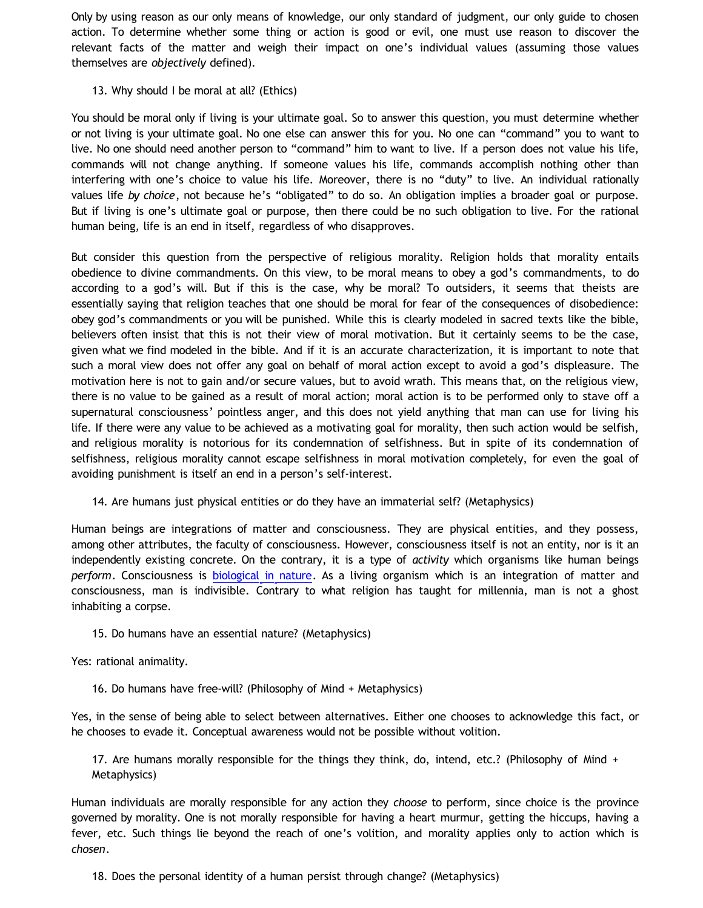Only by using reason as our only means of knowledge, our only standard of judgment, our only guide to chosen action. To determine whether some thing or action is good or evil, one must use reason to discover the relevant facts of the matter and weigh their impact on one's individual values (assuming those values themselves are *objectively* defined).

# 13. Why should I be moral at all? (Ethics)

You should be moral only if living is your ultimate goal. So to answer this question, you must determine whether or not living is your ultimate goal. No one else can answer this for you. No one can "command" you to want to live. No one should need another person to "command" him to want to live. If a person does not value his life, commands will not change anything. If someone values his life, commands accomplish nothing other than interfering with one's choice to value his life. Moreover, there is no "duty" to live. An individual rationally values life *by choice*, not because he's "obligated" to do so. An obligation implies a broader goal or purpose. But if living is one's ultimate goal or purpose, then there could be no such obligation to live. For the rational human being, life is an end in itself, regardless of who disapproves.

But consider this question from the perspective of religious morality. Religion holds that morality entails obedience to divine commandments. On this view, to be moral means to obey a god's commandments, to do according to a god's will. But if this is the case, why be moral? To outsiders, it seems that theists are essentially saying that religion teaches that one should be moral for fear of the consequences of disobedience: obey god's commandments or you will be punished. While this is clearly modeled in sacred texts like the bible, believers often insist that this is not their view of moral motivation. But it certainly seems to be the case, given what we find modeled in the bible. And if it is an accurate characterization, it is important to note that such a moral view does not offer any goal on behalf of moral action except to avoid a god's displeasure. The motivation here is not to gain and/or secure values, but to avoid wrath. This means that, on the religious view, there is no value to be gained as a result of moral action; moral action is to be performed only to stave off a supernatural consciousness' pointless anger, and this does not yield anything that man can use for living his life. If there were any value to be achieved as a motivating goal for morality, then such action would be selfish, and religious morality is notorious for its condemnation of selfishness. But in spite of its condemnation of selfishness, religious morality cannot escape selfishness in moral motivation completely, for even the goal of avoiding punishment is itself an end in a person's self-interest.

14. Are humans just physical entities or do they have an immaterial self? (Metaphysics)

Human beings are integrations of matter and consciousness. They are physical entities, and they possess, among other attributes, the faculty of consciousness. However, consciousness itself is not an entity, nor is it an independently existing concrete. On the contrary, it is a type of *activity* which organisms like human beings *perform*. Consciousness is [biological in nature](http://bahnsenburner.blogspot.com/2010/06/biological-nature-of-consciousness.html). As a living organism which is an integration of matter and consciousness, man is indivisible. Contrary to what religion has taught for millennia, man is not a ghost inhabiting a corpse.

15. Do humans have an essential nature? (Metaphysics)

Yes: rational animality.

16. Do humans have free-will? (Philosophy of Mind + Metaphysics)

Yes, in the sense of being able to select between alternatives. Either one chooses to acknowledge this fact, or he chooses to evade it. Conceptual awareness would not be possible without volition.

17. Are humans morally responsible for the things they think, do, intend, etc.? (Philosophy of Mind + Metaphysics)

Human individuals are morally responsible for any action they *choose* to perform, since choice is the province governed by morality. One is not morally responsible for having a heart murmur, getting the hiccups, having a fever, etc. Such things lie beyond the reach of one's volition, and morality applies only to action which is *chosen*.

18. Does the personal identity of a human persist through change? (Metaphysics)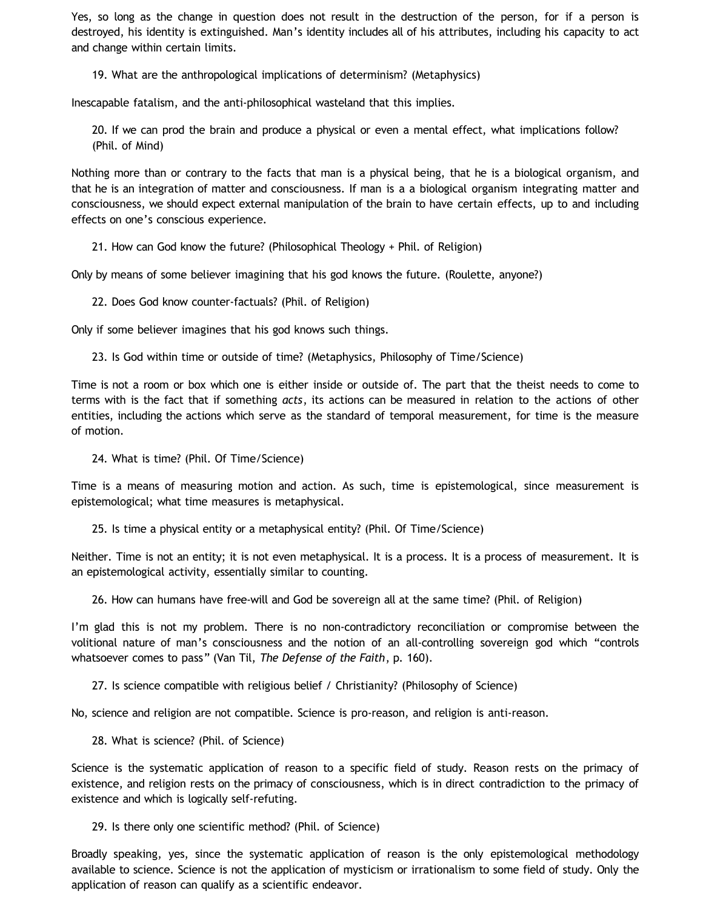Yes, so long as the change in question does not result in the destruction of the person, for if a person is destroyed, his identity is extinguished. Man's identity includes all of his attributes, including his capacity to act and change within certain limits.

19. What are the anthropological implications of determinism? (Metaphysics)

Inescapable fatalism, and the anti-philosophical wasteland that this implies.

20. If we can prod the brain and produce a physical or even a mental effect, what implications follow? (Phil. of Mind)

Nothing more than or contrary to the facts that man is a physical being, that he is a biological organism, and that he is an integration of matter and consciousness. If man is a a biological organism integrating matter and consciousness, we should expect external manipulation of the brain to have certain effects, up to and including effects on one's conscious experience.

21. How can God know the future? (Philosophical Theology + Phil. of Religion)

Only by means of some believer imagining that his god knows the future. (Roulette, anyone?)

22. Does God know counter-factuals? (Phil. of Religion)

Only if some believer imagines that his god knows such things.

23. Is God within time or outside of time? (Metaphysics, Philosophy of Time/Science)

Time is not a room or box which one is either inside or outside of. The part that the theist needs to come to terms with is the fact that if something *acts*, its actions can be measured in relation to the actions of other entities, including the actions which serve as the standard of temporal measurement, for time is the measure of motion.

24. What is time? (Phil. Of Time/Science)

Time is a means of measuring motion and action. As such, time is epistemological, since measurement is epistemological; what time measures is metaphysical.

25. Is time a physical entity or a metaphysical entity? (Phil. Of Time/Science)

Neither. Time is not an entity; it is not even metaphysical. It is a process. It is a process of measurement. It is an epistemological activity, essentially similar to counting.

26. How can humans have free-will and God be sovereign all at the same time? (Phil. of Religion)

I'm glad this is not my problem. There is no non-contradictory reconciliation or compromise between the volitional nature of man's consciousness and the notion of an all-controlling sovereign god which "controls whatsoever comes to pass" (Van Til, *The Defense of the Faith*, p. 160).

27. Is science compatible with religious belief / Christianity? (Philosophy of Science)

No, science and religion are not compatible. Science is pro-reason, and religion is anti-reason.

28. What is science? (Phil. of Science)

Science is the systematic application of reason to a specific field of study. Reason rests on the primacy of existence, and religion rests on the primacy of consciousness, which is in direct contradiction to the primacy of existence and which is logically self-refuting.

29. Is there only one scientific method? (Phil. of Science)

Broadly speaking, yes, since the systematic application of reason is the only epistemological methodology available to science. Science is not the application of mysticism or irrationalism to some field of study. Only the application of reason can qualify as a scientific endeavor.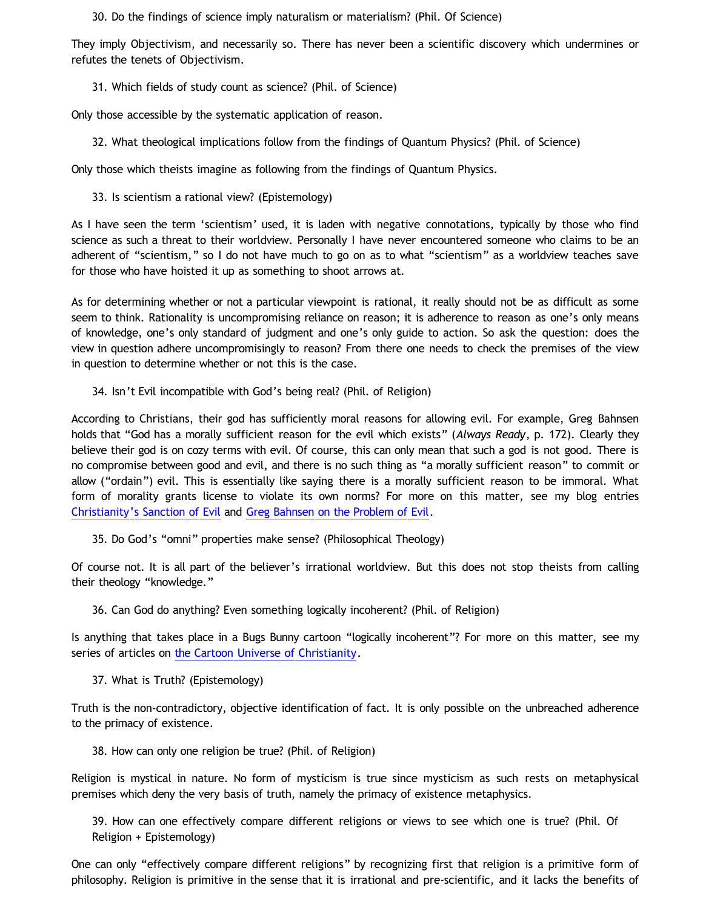30. Do the findings of science imply naturalism or materialism? (Phil. Of Science)

They imply Objectivism, and necessarily so. There has never been a scientific discovery which undermines or refutes the tenets of Objectivism.

31. Which fields of study count as science? (Phil. of Science)

Only those accessible by the systematic application of reason.

32. What theological implications follow from the findings of Quantum Physics? (Phil. of Science)

Only those which theists imagine as following from the findings of Quantum Physics.

33. Is scientism a rational view? (Epistemology)

As I have seen the term 'scientism' used, it is laden with negative connotations, typically by those who find science as such a threat to their worldview. Personally I have never encountered someone who claims to be an adherent of "scientism," so I do not have much to go on as to what "scientism" as a worldview teaches save for those who have hoisted it up as something to shoot arrows at.

As for determining whether or not a particular viewpoint is rational, it really should not be as difficult as some seem to think. Rationality is uncompromising reliance on reason; it is adherence to reason as one's only means of knowledge, one's only standard of judgment and one's only guide to action. So ask the question: does the view in question adhere uncompromisingly to reason? From there one needs to check the premises of the view in question to determine whether or not this is the case.

# 34. Isn't Evil incompatible with God's being real? (Phil. of Religion)

According to Christians, their god has sufficiently moral reasons for allowing evil. For example, Greg Bahnsen holds that "God has a morally sufficient reason for the evil which exists" (*Always Ready*, p. 172). Clearly they believe their god is on cozy terms with evil. Of course, this can only mean that such a god is not good. There is no compromise between good and evil, and there is no such thing as "a morally sufficient reason" to commit or allow ("ordain") evil. This is essentially like saying there is a morally sufficient reason to be immoral. What form of morality grants license to violate its own norms? For more on this matter, see my blog entries [Christianity's Sanction of Evil](http://bahnsenburner.blogspot.com/2011/12/christianitys-sanction-of-evil.html) and [Greg Bahnsen on the Problem of Evil](http://bahnsenburner.blogspot.com/2012/05/greg-bahnsen-on-problem-of-evil.html).

35. Do God's "omni" properties make sense? (Philosophical Theology)

Of course not. It is all part of the believer's irrational worldview. But this does not stop theists from calling their theology "knowledge."

36. Can God do anything? Even something logically incoherent? (Phil. of Religion)

Is anything that takes place in a Bugs Bunny cartoon "logically incoherent"? For more on this matter, see my series of articles on [the Cartoon Universe of Christianity](http://www.katholon.com/Cartoon_Universe_of_Christianity.htm).

37. What is Truth? (Epistemology)

Truth is the non-contradictory, objective identification of fact. It is only possible on the unbreached adherence to the primacy of existence.

38. How can only one religion be true? (Phil. of Religion)

Religion is mystical in nature. No form of mysticism is true since mysticism as such rests on metaphysical premises which deny the very basis of truth, namely the primacy of existence metaphysics.

39. How can one effectively compare different religions or views to see which one is true? (Phil. Of Religion + Epistemology)

One can only "effectively compare different religions" by recognizing first that religion is a primitive form of philosophy. Religion is primitive in the sense that it is irrational and pre-scientific, and it lacks the benefits of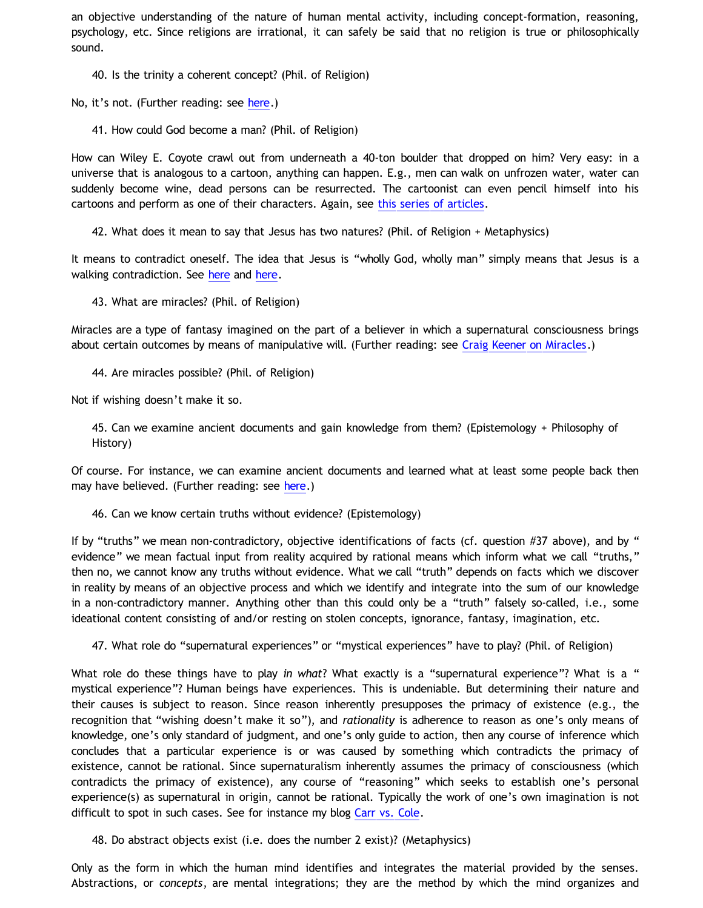an objective understanding of the nature of human mental activity, including concept-formation, reasoning, psychology, etc. Since religions are irrational, it can safely be said that no religion is true or philosophically sound.

40. Is the trinity a coherent concept? (Phil. of Religion)

No, it's not. (Further reading: see [here.](http://bahnsenburner.blogspot.com/2009/07/does-logic-presuppose-christian-god_08.html))

41. How could God become a man? (Phil. of Religion)

How can Wiley E. Coyote crawl out from underneath a 40-ton boulder that dropped on him? Very easy: in a universe that is analogous to a cartoon, anything can happen. E.g., men can walk on unfrozen water, water can suddenly become wine, dead persons can be resurrected. The cartoonist can even pencil himself into his cartoons and perform as one of their characters. Again, see [this series of articles](http://www.katholon.com/Cartoon_Universe_of_Christianity.htm).

42. What does it mean to say that Jesus has two natures? (Phil. of Religion + Metaphysics)

It means to contradict oneself. The idea that Jesus is "wholly God, wholly man" simply means that Jesus is a walking contradiction. See [here](http://bahnsenburner.blogspot.com/2005/08/christianity-as-worship-of-self.html) and [here](http://bahnsenburner.blogspot.com/2005/08/christ-jesus-still-jumble-of.html).

43. What are miracles? (Phil. of Religion)

Miracles are a type of fantasy imagined on the part of a believer in which a supernatural consciousness brings about certain outcomes by means of manipulative will. (Further reading: see [Craig Keener on Miracles.](http://bahnsenburner.blogspot.com/2012/06/craig-keener-on-miracles.html))

44. Are miracles possible? (Phil. of Religion)

Not if wishing doesn't make it so.

45. Can we examine ancient documents and gain knowledge from them? (Epistemology + Philosophy of History)

Of course. For instance, we can examine ancient documents and learned what at least some people back then may have believed. (Further reading: see [here](http://katholon.com/Early_Non-Christian_Testimony.htm).)

46. Can we know certain truths without evidence? (Epistemology)

If by "truths" we mean non-contradictory, objective identifications of facts (cf. question #37 above), and by " evidence" we mean factual input from reality acquired by rational means which inform what we call "truths," then no, we cannot know any truths without evidence. What we call "truth" depends on facts which we discover in reality by means of an objective process and which we identify and integrate into the sum of our knowledge in a non-contradictory manner. Anything other than this could only be a "truth" falsely so-called, i.e., some ideational content consisting of and/or resting on stolen concepts, ignorance, fantasy, imagination, etc.

47. What role do "supernatural experiences" or "mystical experiences" have to play? (Phil. of Religion)

What role do these things have to play *in what*? What exactly is a "supernatural experience"? What is a " mystical experience"? Human beings have experiences. This is undeniable. But determining their nature and their causes is subject to reason. Since reason inherently presupposes the primacy of existence (e.g., the recognition that "wishing doesn't make it so"), and *rationality* is adherence to reason as one's only means of knowledge, one's only standard of judgment, and one's only guide to action, then any course of inference which concludes that a particular experience is or was caused by something which contradicts the primacy of existence, cannot be rational. Since supernaturalism inherently assumes the primacy of consciousness (which contradicts the primacy of existence), any course of "reasoning" which seeks to establish one's personal experience(s) as supernatural in origin, cannot be rational. Typically the work of one's own imagination is not difficult to spot in such cases. See for instance my blog [Carr vs. Cole](http://bahnsenburner.blogspot.com/2006/06/carr-vs-cole.html).

48. Do abstract objects exist (i.e. does the number 2 exist)? (Metaphysics)

Only as the form in which the human mind identifies and integrates the material provided by the senses. Abstractions, or *concepts*, are mental integrations; they are the method by which the mind organizes and